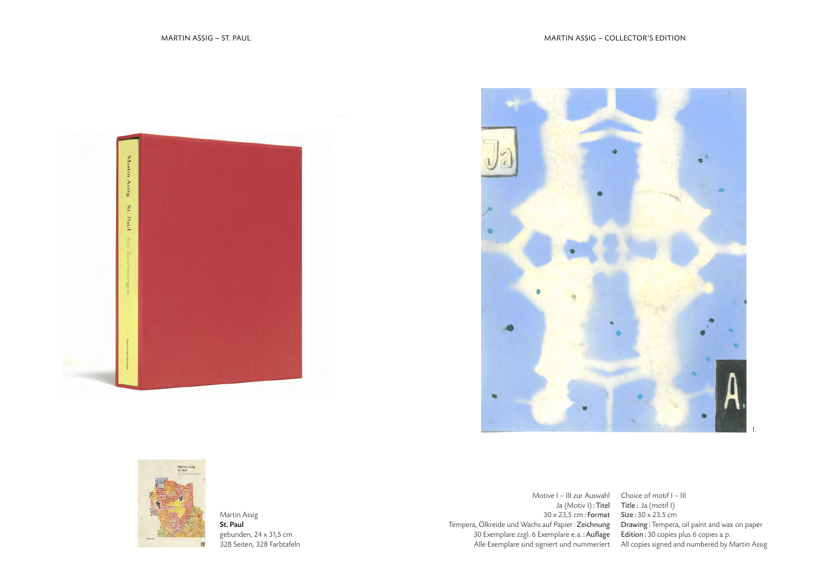





Martin Assig St. Paul gebunden, 24 x 31,5 cm 328 Seiten, 328 Farbtafeln

Motive I – III zur Auswahl Ja (Motiv I): Titel 30 x 23,5 cm: Format Tempera, Ölkreide und Wachs auf Papier : Zeichnung 30 Exemplare zzgl. 6 Exemplare e.a.: Auflage

Alle Exemplare sind signiert und nummeriert All copies signed and numbered by Martin Assig Choice of motif I – III Title : Ja (motif I) Size : 30 x 23.5 cm Drawing : Tempera, oil paint and wax on paper Edition : 30 copies plus 6 copies a.p.